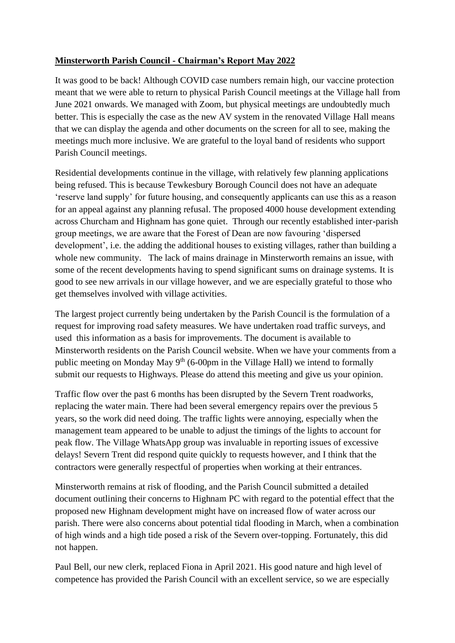## **Minsterworth Parish Council - Chairman's Report May 2022**

It was good to be back! Although COVID case numbers remain high, our vaccine protection meant that we were able to return to physical Parish Council meetings at the Village hall from June 2021 onwards. We managed with Zoom, but physical meetings are undoubtedly much better. This is especially the case as the new AV system in the renovated Village Hall means that we can display the agenda and other documents on the screen for all to see, making the meetings much more inclusive. We are grateful to the loyal band of residents who support Parish Council meetings.

Residential developments continue in the village, with relatively few planning applications being refused. This is because Tewkesbury Borough Council does not have an adequate 'reserve land supply' for future housing, and consequently applicants can use this as a reason for an appeal against any planning refusal. The proposed 4000 house development extending across Churcham and Highnam has gone quiet. Through our recently established inter-parish group meetings, we are aware that the Forest of Dean are now favouring 'dispersed development', i.e. the adding the additional houses to existing villages, rather than building a whole new community. The lack of mains drainage in Minsterworth remains an issue, with some of the recent developments having to spend significant sums on drainage systems. It is good to see new arrivals in our village however, and we are especially grateful to those who get themselves involved with village activities.

The largest project currently being undertaken by the Parish Council is the formulation of a request for improving road safety measures. We have undertaken road traffic surveys, and used this information as a basis for improvements. The document is available to Minsterworth residents on the Parish Council website. When we have your comments from a public meeting on Monday May  $9<sup>th</sup>$  (6-00pm in the Village Hall) we intend to formally submit our requests to Highways. Please do attend this meeting and give us your opinion.

Traffic flow over the past 6 months has been disrupted by the Severn Trent roadworks, replacing the water main. There had been several emergency repairs over the previous 5 years, so the work did need doing. The traffic lights were annoying, especially when the management team appeared to be unable to adjust the timings of the lights to account for peak flow. The Village WhatsApp group was invaluable in reporting issues of excessive delays! Severn Trent did respond quite quickly to requests however, and I think that the contractors were generally respectful of properties when working at their entrances.

Minsterworth remains at risk of flooding, and the Parish Council submitted a detailed document outlining their concerns to Highnam PC with regard to the potential effect that the proposed new Highnam development might have on increased flow of water across our parish. There were also concerns about potential tidal flooding in March, when a combination of high winds and a high tide posed a risk of the Severn over-topping. Fortunately, this did not happen.

Paul Bell, our new clerk, replaced Fiona in April 2021. His good nature and high level of competence has provided the Parish Council with an excellent service, so we are especially